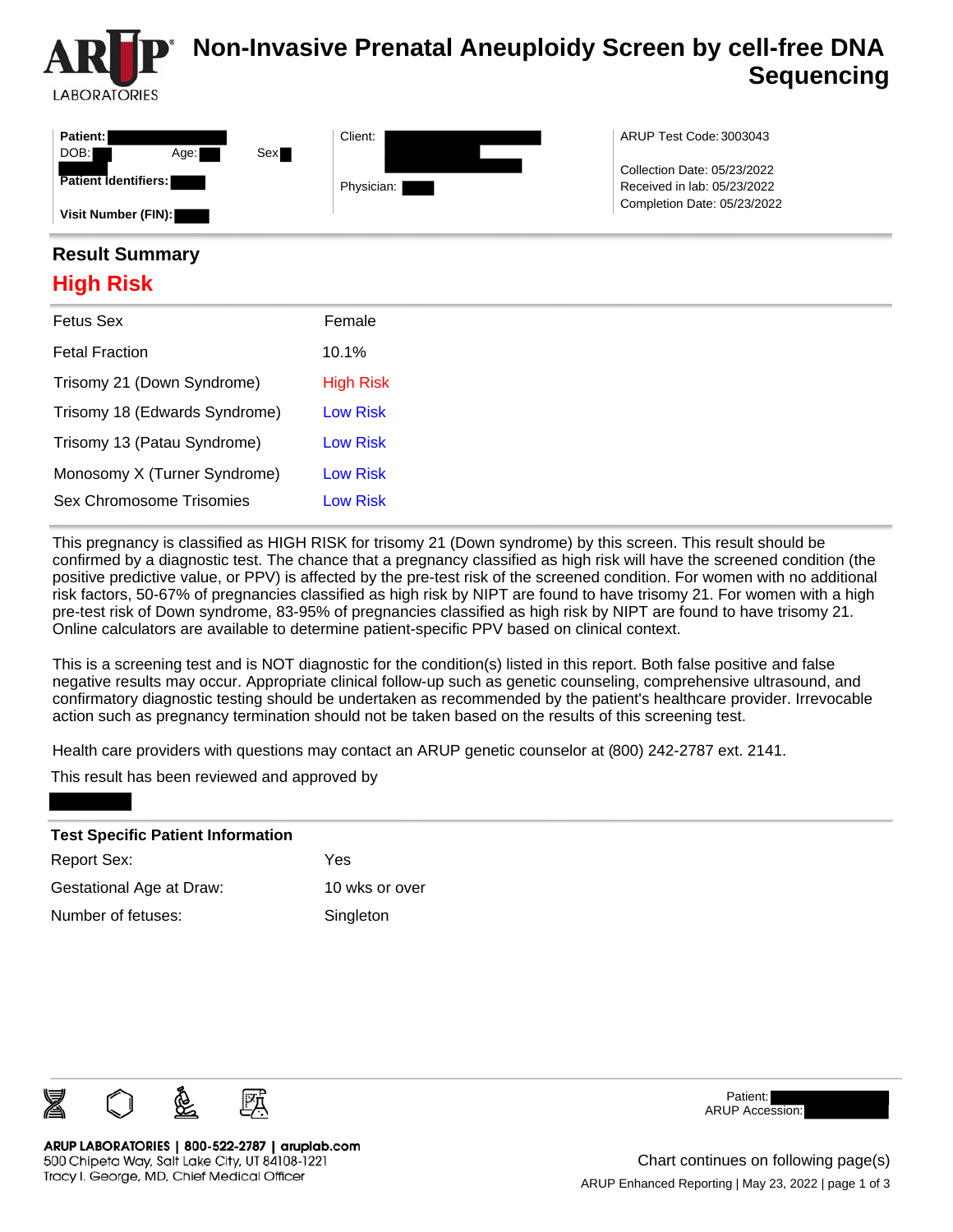

# **Non-Invasive Prenatal Aneuploidy Screen by cell-free DNA Sequencing**

**Patient:** DOB: Age: Sex **Patient Identifiers: Visit Number (FIN):**  Client: Physician: ARUP Test Code: 3003043 Collection Date: 05/23/2022 Received in lab: 05/23/2022 Completion Date: 05/23/2022

#### **Result Summary**

### **High Risk**

| <b>Fetus Sex</b>              | Female           |
|-------------------------------|------------------|
| <b>Fetal Fraction</b>         | 10.1%            |
| Trisomy 21 (Down Syndrome)    | <b>High Risk</b> |
| Trisomy 18 (Edwards Syndrome) | <b>Low Risk</b>  |
| Trisomy 13 (Patau Syndrome)   | <b>Low Risk</b>  |
| Monosomy X (Turner Syndrome)  | <b>Low Risk</b>  |
| Sex Chromosome Trisomies      | <b>Low Risk</b>  |
|                               |                  |

This pregnancy is classified as HIGH RISK for trisomy 21 (Down syndrome) by this screen. This result should be confirmed by a diagnostic test. The chance that a pregnancy classified as high risk will have the screened condition (the positive predictive value, or PPV) is affected by the pre-test risk of the screened condition. For women with no additional risk factors, 50-67% of pregnancies classified as high risk by NIPT are found to have trisomy 21. For women with a high pre-test risk of Down syndrome, 83-95% of pregnancies classified as high risk by NIPT are found to have trisomy 21. Online calculators are available to determine patient-specific PPV based on clinical context.

This is a screening test and is NOT diagnostic for the condition(s) listed in this report. Both false positive and false negative results may occur. Appropriate clinical follow-up such as genetic counseling, comprehensive ultrasound, and confirmatory diagnostic testing should be undertaken as recommended by the patient's healthcare provider. Irrevocable action such as pregnancy termination should not be taken based on the results of this screening test.

Health care providers with questions may contact an ARUP genetic counselor at (800) 242-2787 ext. 2141.

This result has been reviewed and approved by

| <b>Test Specific Patient Information</b> |                |
|------------------------------------------|----------------|
| Report Sex:                              | Yes            |
| Gestational Age at Draw:                 | 10 wks or over |
| Number of fetuses:                       | Singleton      |



ARUP LABORATORIES | 800-522-2787 | aruplab.com 500 Chipeta Way, Salt Lake City, UT 84108-1221 Tracy I. George, MD, Chief Medical Officer

Patient: ARUP Accession:

ARUP Enhanced Reporting | May 23, 2022 | page 1 of 3 Chart continues on following page(s)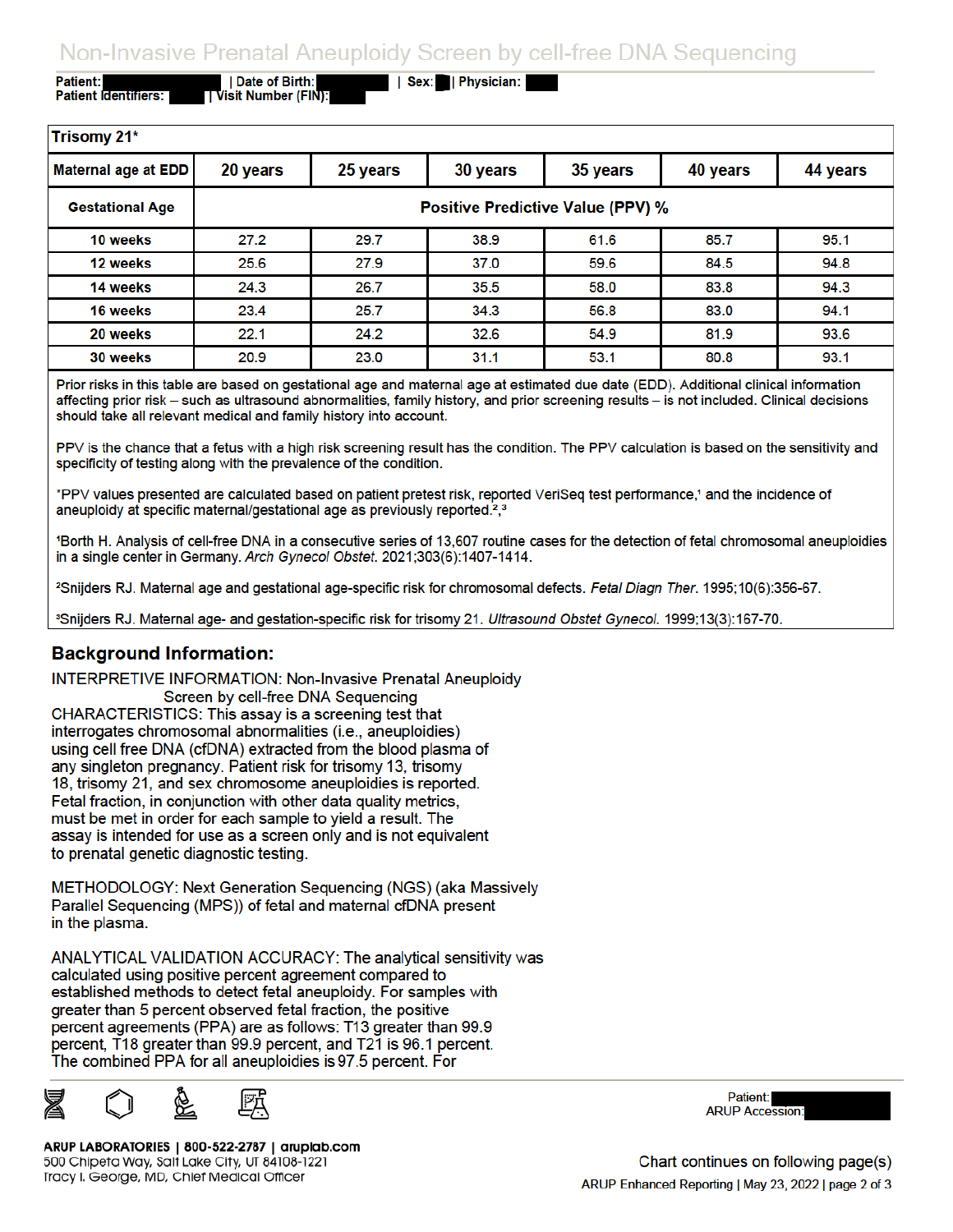## Non-Invasive Prenatal Aneuploidy Screen by cell-free DNA Sequencing

Patient: **Patient Identifiers:** 

| Date of Birth: Visit Number (FIN): Sex: Physician:

| Trisomy 21*            |                                          |          |          |          |          |          |  |  |  |
|------------------------|------------------------------------------|----------|----------|----------|----------|----------|--|--|--|
| Maternal age at EDD    | 20 years                                 | 25 years | 30 years | 35 years | 40 years | 44 years |  |  |  |
| <b>Gestational Age</b> | <b>Positive Predictive Value (PPV) %</b> |          |          |          |          |          |  |  |  |
| 10 weeks               | 27.2                                     | 29.7     | 38.9     | 61.6     | 85.7     | 95.1     |  |  |  |
| 12 weeks               | 25.6                                     | 27.9     | 37.0     | 59.6     | 84.5     | 94.8     |  |  |  |
| 14 weeks               | 24.3                                     | 26.7     | 35.5     | 58.0     | 83.8     | 94.3     |  |  |  |
| 16 weeks               | 23.4                                     | 25.7     | 34.3     | 56.8     | 83.0     | 94.1     |  |  |  |
| 20 weeks               | 22.1                                     | 24.2     | 32.6     | 54.9     | 81.9     | 93.6     |  |  |  |
| 30 weeks               | 20.9                                     | 23.0     | 31.1     | 53.1     | 80.8     | 93.1     |  |  |  |

Prior risks in this table are based on gestational age and maternal age at estimated due date (EDD). Additional clinical information affecting prior risk - such as ultrasound abnormalities, family history, and prior screening results - is not included. Clinical decisions should take all relevant medical and family history into account.

PPV is the chance that a fetus with a high risk screening result has the condition. The PPV calculation is based on the sensitivity and specificity of testing along with the prevalence of the condition.

\*PPV values presented are calculated based on patient pretest risk, reported VeriSeq test performance,<sup>1</sup> and the incidence of aneuploidy at specific maternal/gestational age as previously reported.<sup>2,3</sup>

1Borth H. Analysis of cell-free DNA in a consecutive series of 13,607 routine cases for the detection of fetal chromosomal aneuploidies in a single center in Germany. Arch Gynecol Obstet. 2021;303(6):1407-1414.

<sup>2</sup>Snijders RJ. Maternal age and gestational age-specific risk for chromosomal defects. Fetal Diagn Ther. 1995;10(6):356-67.

<sup>3</sup>Snijders RJ. Maternal age- and gestation-specific risk for trisomy 21. Ultrasound Obstet Gynecol. 1999;13(3):167-70.

#### **Background Information:**

**INTERPRETIVE INFORMATION: Non-Invasive Prenatal Aneuploidy** Screen by cell-free DNA Sequencing CHARACTERISTICS: This assay is a screening test that interrogates chromosomal abnormalities (i.e., aneuploidies) using cell free DNA (cfDNA) extracted from the blood plasma of any singleton pregnancy. Patient risk for trisomy 13, trisomy 18, trisomy 21, and sex chromosome aneuploidies is reported. Fetal fraction, in conjunction with other data quality metrics, must be met in order for each sample to yield a result. The assay is intended for use as a screen only and is not equivalent to prenatal genetic diagnostic testing.

METHODOLOGY: Next Generation Sequencing (NGS) (aka Massively Parallel Sequencing (MPS)) of fetal and maternal cfDNA present in the plasma.

ANALYTICAL VALIDATION ACCURACY: The analytical sensitivity was calculated using positive percent agreement compared to established methods to detect fetal aneuploidy. For samples with greater than 5 percent observed fetal fraction, the positive percent agreements (PPA) are as follows: T13 greater than 99.9 percent, T18 greater than 99.9 percent, and T21 is 96.1 percent. The combined PPA for all aneuploidies is 97.5 percent. For



ARUP LABORATORIES | 800-522-2787 | aruplab.com 500 Chipeta Way, Salt Lake City, UT 84108-1221 Tracy I. George, MD, Chief Medical Officer

Patient: **ARUP Accession:** 

Chart continues on following page(s) ARUP Enhanced Reporting | May 23, 2022 | page 2 of 3